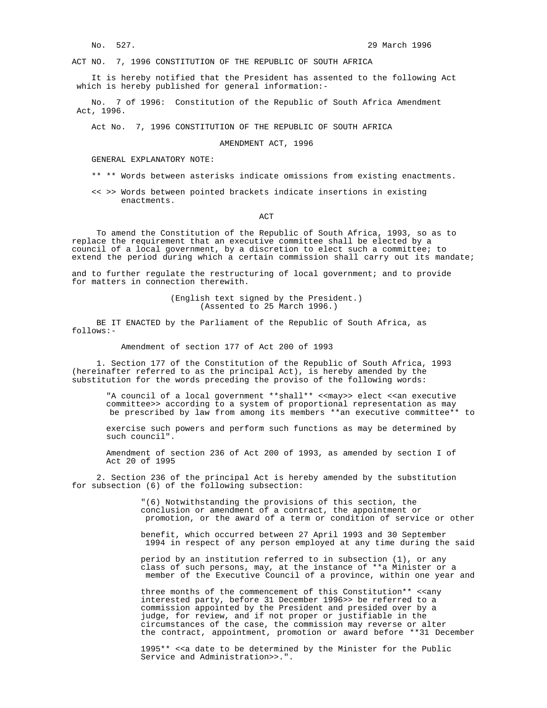ACT NO. 7, 1996 CONSTITUTION OF THE REPUBLIC OF SOUTH AFRICA

 It is hereby notified that the President has assented to the following Act which is hereby published for general information:-

 No. 7 of 1996: Constitution of the Republic of South Africa Amendment Act, 1996.

Act No. 7, 1996 CONSTITUTION OF THE REPUBLIC OF SOUTH AFRICA

## AMENDMENT ACT, 1996

GENERAL EXPLANATORY NOTE:

- \*\* \*\* Words between asterisks indicate omissions from existing enactments.
- << >> Words between pointed brackets indicate insertions in existing enactments.

**ACT** 

 To amend the Constitution of the Republic of South Africa, 1993, so as to replace the requirement that an executive committee shall be elected by a council of a local government, by a discretion to elect such a committee; to extend the period during which a certain commission shall carry out its mandate;

and to further regulate the restructuring of local government; and to provide for matters in connection therewith.

> (English text signed by the President.) (Assented to 25 March 1996.)

 BE IT ENACTED by the Parliament of the Republic of South Africa, as follows:-

Amendment of section 177 of Act 200 of 1993

 1. Section 177 of the Constitution of the Republic of South Africa, 1993 (hereinafter referred to as the principal Act), is hereby amended by the substitution for the words preceding the proviso of the following words:

"A council of a local government \*\*shall\*\* <<may>> elect <<an executive committee>> according to a system of proportional representation as may be prescribed by law from among its members \*\*an executive committee\*\* to

 exercise such powers and perform such functions as may be determined by such council".

 Amendment of section 236 of Act 200 of 1993, as amended by section I of Act 20 of 1995

 2. Section 236 of the principal Act is hereby amended by the substitution for subsection (6) of the following subsection:

 "(6) Notwithstanding the provisions of this section, the conclusion or amendment of a contract, the appointment or promotion, or the award of a term or condition of service or other

> benefit, which occurred between 27 April 1993 and 30 September 1994 in respect of any person employed at any time during the said

> period by an institution referred to in subsection (1), or any class of such persons, may, at the instance of \*\*a Minister or a member of the Executive Council of a province, within one year and

> three months of the commencement of this Constitution\*\* <<any interested party, before 31 December 1996>> be referred to a commission appointed by the President and presided over by a judge, for review, and if not proper or justifiable in the circumstances of the case, the commission may reverse or alter the contract, appointment, promotion or award before \*\*31 December

 1995\*\* <<a date to be determined by the Minister for the Public Service and Administration>>.".